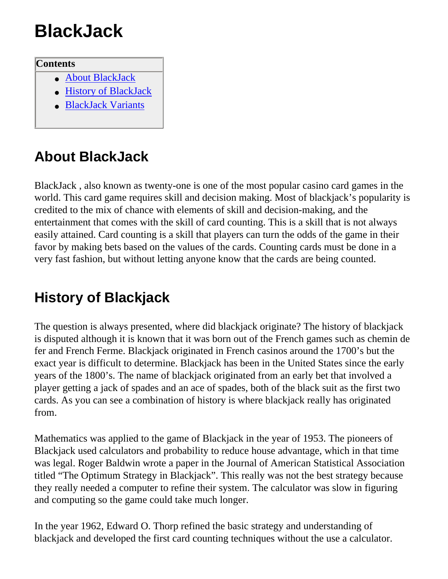# **BlackJack**

#### **Contents**

- [About BlackJack](#page-0-0)
- [History of BlackJack](#page-0-1)
- [BlackJack Variants](#page-1-0)

### <span id="page-0-0"></span>**About BlackJack**

BlackJack , also known as twenty-one is one of the most popular casino card games in the world. This card game requires skill and decision making. Most of blackjack's popularity is credited to the mix of chance with elements of skill and decision-making, and the entertainment that comes with the skill of card counting. This is a skill that is not always easily attained. Card counting is a skill that players can turn the odds of the game in their favor by making bets based on the values of the cards. Counting cards must be done in a very fast fashion, but without letting anyone know that the cards are being counted.

## <span id="page-0-1"></span>**History of Blackjack**

The question is always presented, where did blackjack originate? The history of blackjack is disputed although it is known that it was born out of the French games such as chemin de fer and French Ferme. Blackjack originated in French casinos around the 1700's but the exact year is difficult to determine. Blackjack has been in the United States since the early years of the 1800's. The name of blackjack originated from an early bet that involved a player getting a jack of spades and an ace of spades, both of the black suit as the first two cards. As you can see a combination of history is where blackjack really has originated from.

Mathematics was applied to the game of Blackjack in the year of 1953. The pioneers of Blackjack used calculators and probability to reduce house advantage, which in that time was legal. Roger Baldwin wrote a paper in the Journal of American Statistical Association titled "The Optimum Strategy in Blackjack". This really was not the best strategy because they really needed a computer to refine their system. The calculator was slow in figuring and computing so the game could take much longer.

In the year 1962, Edward O. Thorp refined the basic strategy and understanding of blackjack and developed the first card counting techniques without the use a calculator.